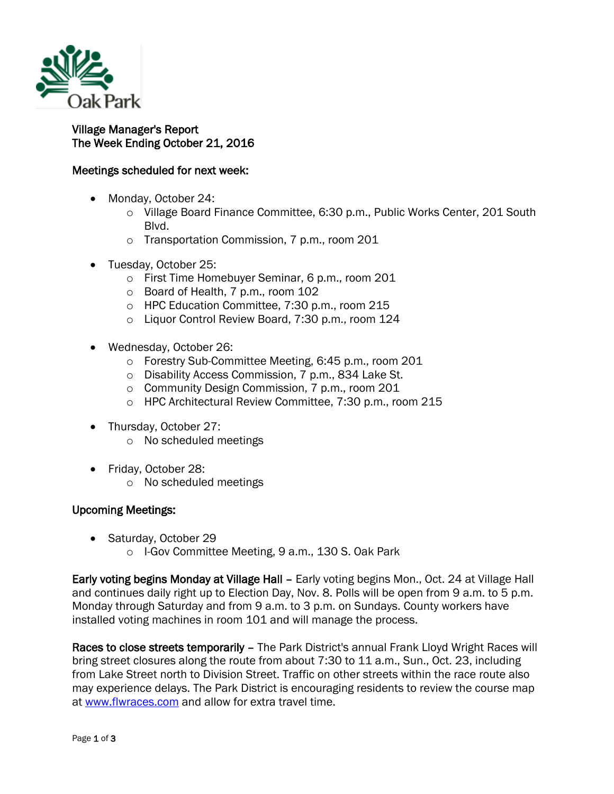

## Village Manager's Report The Week Ending October 21, 2016

## Meetings scheduled for next week:

- Monday, October 24:
	- o Village Board Finance Committee, 6:30 p.m., Public Works Center, 201 South Blvd.
	- o Transportation Commission, 7 p.m., room 201
- Tuesday, October 25:
	- o First Time Homebuyer Seminar, 6 p.m., room 201
	- o Board of Health, 7 p.m., room 102
	- o HPC Education Committee, 7:30 p.m., room 215
	- o Liquor Control Review Board, 7:30 p.m., room 124
- Wednesday, October 26:
	- o Forestry Sub-Committee Meeting, 6:45 p.m., room 201
	- o Disability Access Commission, 7 p.m., 834 Lake St.
	- o Community Design Commission, 7 p.m., room 201
	- o HPC Architectural Review Committee, 7:30 p.m., room 215
- Thursday, October 27:
	- o No scheduled meetings
- Friday, October 28:
	- o No scheduled meetings

## Upcoming Meetings:

- Saturday, October 29
	- o I-Gov Committee Meeting, 9 a.m., 130 S. Oak Park

Early voting begins Monday at Village Hall – Early voting begins Mon., Oct. 24 at Village Hall and continues daily right up to Election Day, Nov. 8. Polls will be open from 9 a.m. to 5 p.m. Monday through Saturday and from 9 a.m. to 3 p.m. on Sundays. County workers have installed voting machines in room 101 and will manage the process.

Races to close streets temporarily – The Park District's annual Frank Lloyd Wright Races will bring street closures along the route from about 7:30 to 11 a.m., Sun., Oct. 23, including from Lake Street north to Division Street. Traffic on other streets within the race route also may experience delays. The Park District is encouraging residents to review the course map at [www.flwraces.com](http://r20.rs6.net/tn.jsp?f=0019Enn2rmq7l9qlv1BjXqSd_nDzOUAXtbV8l_8BpsHxR6ZTm8LHsy4_g8fiXZ3am5Qd5WfGkPbXtmXTecHTkRCnmcI0cXv3R9gOpb-ULBcpqx4xuzxtC6HO9EeiRPUCal1zvYZ1sS63azrNAbUp5NM2bfkVXgOlBdGaUDW6FPDUReVntEzEOxOIP7LI7VFUyYnf--BAoqaa85Uc6Nh7hpoEk5Pmj4fmKMDAwLEfu7zBaokA1xPtH2dWfwrwsgb07piNTFz-RBpF9VyCh32EV8ez-geT06vjM9g&c=SaYXVIrzdrwWLHfqfMojdiR9_L1f2kx-fotU-qrOSssnMRFyd-4_VQ==&ch=aOfiMvtmxmZ59fuHsY0AsSD5aerMNajCOIovL8piY16OIrEkKPwfBg==) and allow for extra travel time.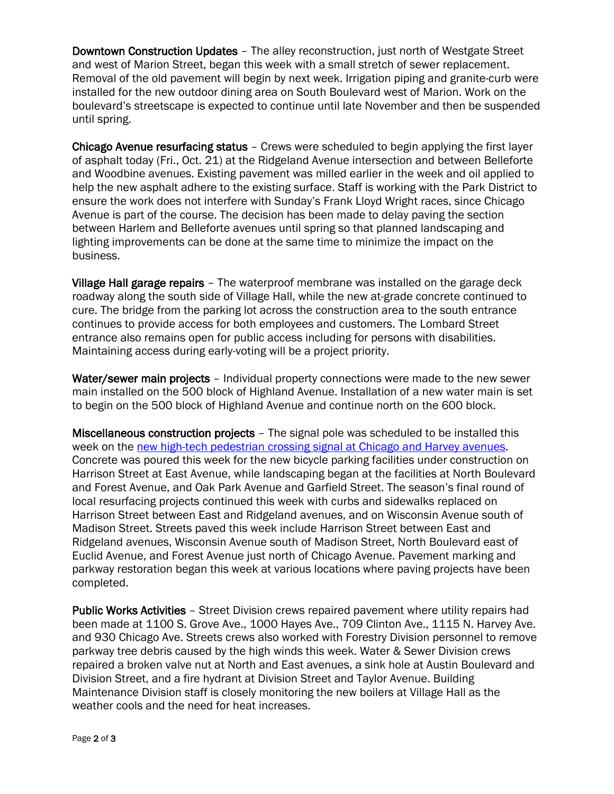Downtown Construction Updates – The alley reconstruction, just north of Westgate Street and west of Marion Street, began this week with a small stretch of sewer replacement. Removal of the old pavement will begin by next week. Irrigation piping and granite-curb were installed for the new outdoor dining area on South Boulevard west of Marion. Work on the boulevard's streetscape is expected to continue until late November and then be suspended until spring.

Chicago Avenue resurfacing status – Crews were scheduled to begin applying the first layer of asphalt today (Fri., Oct. 21) at the Ridgeland Avenue intersection and between Belleforte and Woodbine avenues. Existing pavement was milled earlier in the week and oil applied to help the new asphalt adhere to the existing surface. Staff is working with the Park District to ensure the work does not interfere with Sunday's Frank Lloyd Wright races, since Chicago Avenue is part of the course. The decision has been made to delay paving the section between Harlem and Belleforte avenues until spring so that planned landscaping and lighting improvements can be done at the same time to minimize the impact on the business.

Village Hall garage repairs – The waterproof membrane was installed on the garage deck roadway along the south side of Village Hall, while the new at-grade concrete continued to cure. The bridge from the parking lot across the construction area to the south entrance continues to provide access for both employees and customers. The Lombard Street entrance also remains open for public access including for persons with disabilities. Maintaining access during early-voting will be a project priority.

Water/sewer main projects – Individual property connections were made to the new sewer main installed on the 500 block of Highland Avenue. Installation of a new water main is set to begin on the 500 block of Highland Avenue and continue north on the 600 block.

Miscellaneous construction projects – The signal pole was scheduled to be installed this week on the [new high-tech pedestrian crossing signal at Chicago and Harvey avenues.](http://www.oak-park.us/newsletters/september-2016/construction-update) Concrete was poured this week for the new bicycle parking facilities under construction on Harrison Street at East Avenue, while landscaping began at the facilities at North Boulevard and Forest Avenue, and Oak Park Avenue and Garfield Street. The season's final round of local resurfacing projects continued this week with curbs and sidewalks replaced on Harrison Street between East and Ridgeland avenues, and on Wisconsin Avenue south of Madison Street. Streets paved this week include Harrison Street between East and Ridgeland avenues, Wisconsin Avenue south of Madison Street, North Boulevard east of Euclid Avenue, and Forest Avenue just north of Chicago Avenue. Pavement marking and parkway restoration began this week at various locations where paving projects have been completed.

Public Works Activities – Street Division crews repaired pavement where utility repairs had been made at 1100 S. Grove Ave., 1000 Hayes Ave., 709 Clinton Ave., 1115 N. Harvey Ave. and 930 Chicago Ave. Streets crews also worked with Forestry Division personnel to remove parkway tree debris caused by the high winds this week. Water & Sewer Division crews repaired a broken valve nut at North and East avenues, a sink hole at Austin Boulevard and Division Street, and a fire hydrant at Division Street and Taylor Avenue. Building Maintenance Division staff is closely monitoring the new boilers at Village Hall as the weather cools and the need for heat increases.